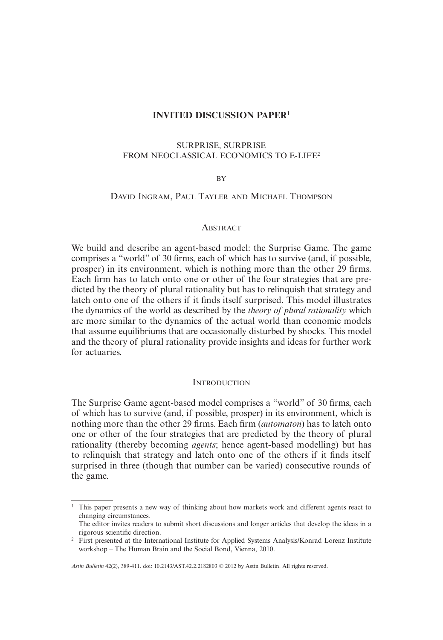# **INVITED DISCUSSION PAPER**<sup>1</sup>

# SURPRISE, SURPRISE FROM NEOCLASSICAL ECONOMICS TO E-LIFE2

#### BY

# DAVID INGRAM, PAUL TAYLER AND MICHAEL THOMPSON

### **ABSTRACT**

We build and describe an agent-based model: the Surprise Game. The game comprises a "world" of 30 firms, each of which has to survive (and, if possible, prosper) in its environment, which is nothing more than the other 29 firms. Each firm has to latch onto one or other of the four strategies that are predicted by the theory of plural rationality but has to relinquish that strategy and latch onto one of the others if it finds itself surprised. This model illustrates the dynamics of the world as described by the *theory of plural rationality* which are more similar to the dynamics of the actual world than economic models that assume equilibriums that are occasionally disturbed by shocks. This model and the theory of plural rationality provide insights and ideas for further work for actuaries.

### **INTRODUCTION**

The Surprise Game agent-based model comprises a "world" of 30 firms, each of which has to survive (and, if possible, prosper) in its environment, which is nothing more than the other 29 firms. Each firm *(automaton)* has to latch onto one or other of the four strategies that are predicted by the theory of plural rationality (thereby becoming *agents*; hence agent-based modelling) but has to relinquish that strategy and latch onto one of the others if it finds itself surprised in three (though that number can be varied) consecutive rounds of the game.

*Astin Bulletin* 42(2), 389-411. doi: 10.2143/AST.42.2.2182803 © 2012 by Astin Bulletin. All rights reserved.

<sup>&</sup>lt;sup>1</sup> This paper presents a new way of thinking about how markets work and different agents react to changing circumstances.

The editor invites readers to submit short discussions and longer articles that develop the ideas in a rigorous scientific direction.

<sup>&</sup>lt;sup>2</sup> First presented at the International Institute for Applied Systems Analysis/Konrad Lorenz Institute workshop – The Human Brain and the Social Bond, Vienna, 2010.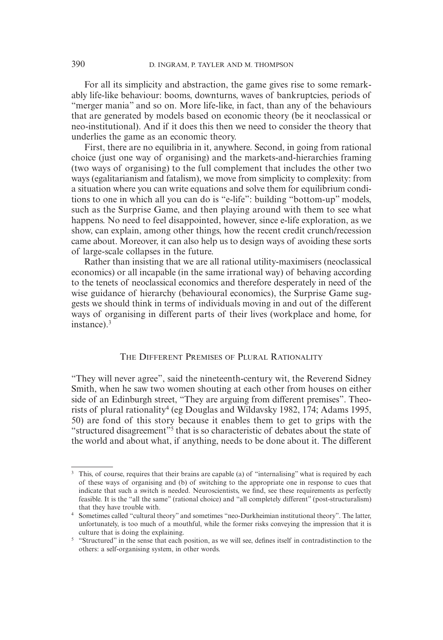For all its simplicity and abstraction, the game gives rise to some remarkably life-like behaviour: booms, downturns, waves of bankruptcies, periods of "merger mania" and so on. More life-like, in fact, than any of the behaviours that are generated by models based on economic theory (be it neoclassical or neo-institutional). And if it does this then we need to consider the theory that underlies the game as an economic theory.

First, there are no equilibria in it, anywhere. Second, in going from rational choice (just one way of organising) and the markets-and-hierarchies framing (two ways of organising) to the full complement that includes the other two ways (egalitarianism and fatalism), we move from simplicity to complexity: from a situation where you can write equations and solve them for equilibrium conditions to one in which all you can do is "e-life": building "bottom-up" models, such as the Surprise Game, and then playing around with them to see what happens. No need to feel disappointed, however, since e-life exploration, as we show, can explain, among other things, how the recent credit crunch/recession came about. Moreover, it can also help us to design ways of avoiding these sorts of large-scale collapses in the future.

Rather than insisting that we are all rational utility-maximisers (neoclassical economics) or all incapable (in the same irrational way) of behaving according to the tenets of neoclassical economics and therefore desperately in need of the wise guidance of hierarchy (behavioural economics), the Surprise Game suggests we should think in terms of individuals moving in and out of the different ways of organising in different parts of their lives (workplace and home, for instance).3

## THE DIFFERENT PREMISES OF PLURAL RATIONALITY

"They will never agree", said the nineteenth-century wit, the Reverend Sidney Smith, when he saw two women shouting at each other from houses on either side of an Edinburgh street, "They are arguing from different premises". Theorists of plural rationality<sup>4</sup> (eg Douglas and Wildavsky 1982, 174; Adams 1995, 50) are fond of this story because it enables them to get to grips with the "structured disagreement"5 that is so characteristic of debates about the state of the world and about what, if anything, needs to be done about it. The different

<sup>&</sup>lt;sup>3</sup> This, of course, requires that their brains are capable (a) of "internalising" what is required by each of these ways of organising and (b) of switching to the appropriate one in response to cues that indicate that such a switch is needed. Neuroscientists, we find, see these requirements as perfectly feasible. It is the "all the same" (rational choice) and "all completely different" (post-structuralism) that they have trouble with.

<sup>4</sup> Sometimes called "cultural theory" and sometimes "neo-Durkheimian institutional theory". The latter, unfortunately, is too much of a mouthful, while the former risks conveying the impression that it is culture that is doing the explaining.

<sup>&</sup>lt;sup>5</sup> "Structured" in the sense that each position, as we will see, defines itself in contradistinction to the others: a self-organising system, in other words.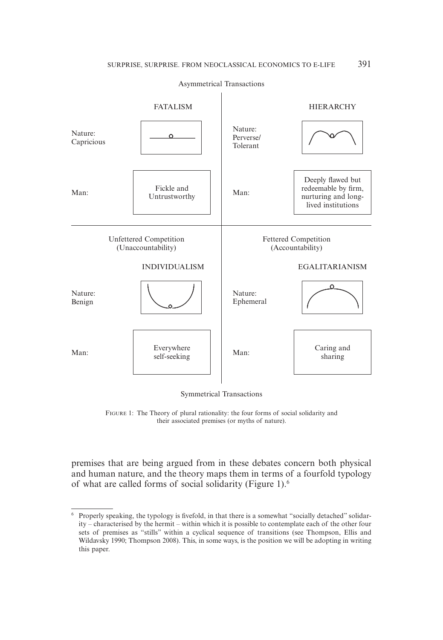Asymmetrical Transactions



Symmetrical Transactions

FIGURE 1: The Theory of plural rationality: the four forms of social solidarity and their associated premises (or myths of nature).

premises that are being argued from in these debates concern both physical and human nature, and the theory maps them in terms of a fourfold typology of what are called forms of social solidarity (Figure 1).6

<sup>&</sup>lt;sup>6</sup> Properly speaking, the typology is fivefold, in that there is a somewhat "socially detached" solidarity – characterised by the hermit – within which it is possible to contemplate each of the other four sets of premises as "stills" within a cyclical sequence of transitions (see Thompson, Ellis and Wildavsky 1990; Thompson 2008). This, in some ways, is the position we will be adopting in writing this paper.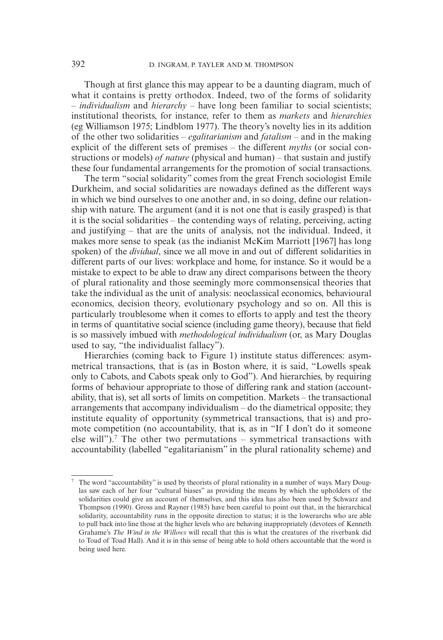Though at first glance this may appear to be a daunting diagram, much of what it contains is pretty orthodox. Indeed, two of the forms of solidarity – *individualism* and *hierarchy* – have long been familiar to social scientists; institutional theorists, for instance, refer to them as *markets* and *hierarchies* (eg Williamson 1975; Lindblom 1977). The theory's novelty lies in its addition of the other two solidarities – *egalitarianism* and *fatalism* – and in the making explicit of the different sets of premises – the different *myths* (or social constructions or models) *of nature* (physical and human) – that sustain and justify these four fundamental arrangements for the promotion of social transactions.

The term "social solidarity" comes from the great French sociologist Emile Durkheim, and social solidarities are nowadays defined as the different ways in which we bind ourselves to one another and, in so doing, define our relationship with nature. The argument (and it is not one that is easily grasped) is that it is the social solidarities – the contending ways of relating, perceiving, acting and justifying – that are the units of analysis, not the individual. Indeed, it makes more sense to speak (as the indianist McKim Marriott [1967] has long spoken) of the *dividual*, since we all move in and out of different solidarities in different parts of our lives: workplace and home, for instance. So it would be a mistake to expect to be able to draw any direct comparisons between the theory of plural rationality and those seemingly more commonsensical theories that take the individual as the unit of analysis: neoclassical economics, behavioural economics, decision theory, evolutionary psychology and so on. All this is particularly troublesome when it comes to efforts to apply and test the theory in terms of quantitative social science (including game theory), because that field is so massively imbued with *methodological individualism* (or, as Mary Douglas used to say, "the individualist fallacy").

Hierarchies (coming back to Figure 1) institute status differences: asymmetrical transactions, that is (as in Boston where, it is said, "Lowells speak only to Cabots, and Cabots speak only to God"). And hierarchies, by requiring forms of behaviour appropriate to those of differing rank and station (accountability, that is), set all sorts of limits on competition. Markets – the transactional arrangements that accompany individualism – do the diametrical opposite; they institute equality of opportunity (symmetrical transactions, that is) and promote competition (no accountability, that is, as in "If I don't do it someone else will").<sup>7</sup> The other two permutations – symmetrical transactions with accountability (labelled "egalitarianism" in the plural rationality scheme) and

<sup>7</sup> The word "accountability" is used by theorists of plural rationality in a number of ways. Mary Douglas saw each of her four "cultural biases" as providing the means by which the upholders of the solidarities could give an account of themselves, and this idea has also been used by Schwarz and Thompson (1990). Gross and Rayner (1985) have been careful to point out that, in the hierarchical solidarity, accountability runs in the opposite direction to status; it is the lowerarchs who are able to pull back into line those at the higher levels who are behaving inappropriately (devotees of Kenneth Grahame's *The Wind in the Willows* will recall that this is what the creatures of the riverbank did to Toad of Toad Hall). And it is in this sense of being able to hold others accountable that the word is being used here.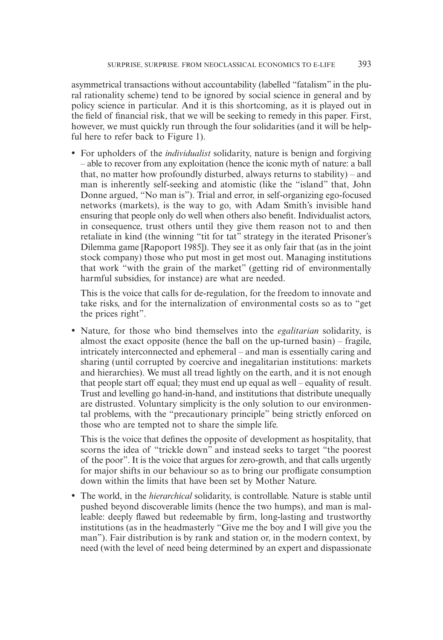asymmetrical transactions without accountability (labelled "fatalism" in the plural rationality scheme) tend to be ignored by social science in general and by policy science in particular. And it is this shortcoming, as it is played out in the field of financial risk, that we will be seeking to remedy in this paper. First, however, we must quickly run through the four solidarities (and it will be helpful here to refer back to Figure 1).

• For upholders of the *individualist* solidarity, nature is benign and forgiving – able to recover from any exploitation (hence the iconic myth of nature: a ball that, no matter how profoundly disturbed, always returns to stability) – and man is inherently self-seeking and atomistic (like the "island" that, John Donne argued, "No man is"). Trial and error, in self-organizing ego-focused networks (markets), is the way to go, with Adam Smith's invisible hand ensuring that people only do well when others also benefit. Individualist actors, in consequence, trust others until they give them reason not to and then retaliate in kind (the winning "tit for tat" strategy in the iterated Prisoner's Dilemma game [Rapoport 1985]). They see it as only fair that (as in the joint stock company) those who put most in get most out. Managing institutions that work "with the grain of the market" (getting rid of environmentally harmful subsidies, for instance) are what are needed.

 This is the voice that calls for de-regulation, for the freedom to innovate and take risks, and for the internalization of environmental costs so as to "get the prices right".

• Nature, for those who bind themselves into the *egalitarian* solidarity, is almost the exact opposite (hence the ball on the up-turned basin) – fragile, intricately interconnected and ephemeral – and man is essentially caring and sharing (until corrupted by coercive and inegalitarian institutions: markets and hierarchies). We must all tread lightly on the earth, and it is not enough that people start off equal; they must end up equal as well – equality of result. Trust and levelling go hand-in-hand, and institutions that distribute unequally are distrusted. Voluntary simplicity is the only solution to our environmental problems, with the "precautionary principle" being strictly enforced on those who are tempted not to share the simple life.

This is the voice that defines the opposite of development as hospitality, that scorns the idea of "trickle down" and instead seeks to target "the poorest of the poor". It is the voice that argues for zero-growth, and that calls urgently for major shifts in our behaviour so as to bring our profligate consumption down within the limits that have been set by Mother Nature.

• The world, in the *hierarchical* solidarity, is controllable. Nature is stable until pushed beyond discoverable limits (hence the two humps), and man is malleable: deeply flawed but redeemable by firm, long-lasting and trustworthy institutions (as in the headmasterly "Give me the boy and I will give you the man"). Fair distribution is by rank and station or, in the modern context, by need (with the level of need being determined by an expert and dispassionate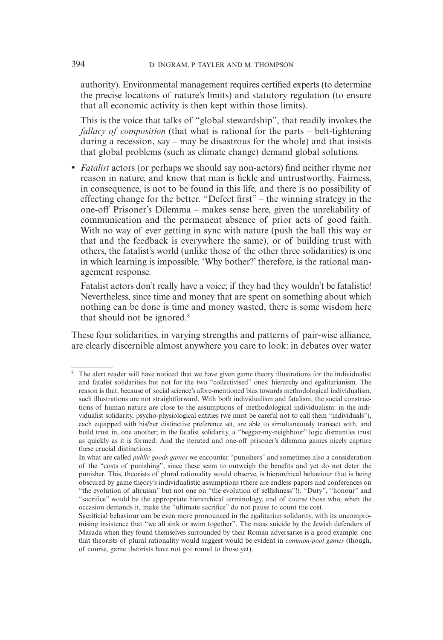authority). Environmental management requires certified experts (to determine the precise locations of nature's limits) and statutory regulation (to ensure that all economic activity is then kept within those limits).

 This is the voice that talks of "global stewardship", that readily invokes the *fallacy of composition* (that what is rational for the parts – belt-tightening during a recession, say – may be disastrous for the whole) and that insists that global problems (such as climate change) demand global solutions.

• *Fatalist* actors (or perhaps we should say non-actors) find neither rhyme nor reason in nature, and know that man is fickle and untrustworthy. Fairness, in consequence, is not to be found in this life, and there is no possibility of effecting change for the better. "Defect first" – the winning strategy in the one-off Prisoner's Dilemma – makes sense here, given the unreliability of communication and the permanent absence of prior acts of good faith. With no way of ever getting in sync with nature (push the ball this way or that and the feedback is everywhere the same), or of building trust with others, the fatalist's world (unlike those of the other three solidarities) is one in which learning is impossible. 'Why bother?' therefore, is the rational management response.

 Fatalist actors don't really have a voice; if they had they wouldn't be fatalistic! Nevertheless, since time and money that are spent on something about which nothing can be done is time and money wasted, there is some wisdom here that should not be ignored.<sup>8</sup>

These four solidarities, in varying strengths and patterns of pair-wise alliance, are clearly discernible almost anywhere you care to look: in debates over water

<sup>&</sup>lt;sup>8</sup> The alert reader will have noticed that we have given game theory illustrations for the individualist and fatalist solidarities but not for the two "collectivised" ones: hierarchy and egalitarianism. The reason is that, because of social science's afore-mentioned bias towards methodological individualism, such illustrations are not straightforward. With both individualism and fatalism, the social constructions of human nature are close to the assumptions of methodological individualism: in the individualist solidarity, psycho-physiological entities (we must be careful not to call them "individuals"), each equipped with his/her distinctive preference set, are able to simultaneously transact with, and build trust in, one another; in the fatalist solidarity, a "beggar-my-neighbour" logic dismantles trust as quickly as it is formed. And the iterated and one-off prisoner's dilemma games nicely capture these crucial distinctions.

In what are called *public goods games* we encounter "punishers" and sometimes also a consideration of the "costs of punishing", since these seem to outweigh the benefits and yet do not deter the punisher. This, theorists of plural rationality would observe, is hierarchical behaviour that is being obscured by game theory's individualistic assumptions (there are endless papers and conferences on "the evolution of altruism" but not one on "the evolution of selfishness"!). "Duty", "honour" and "sacrifice" would be the appropriate hierarchical terminology, and of course those who, when the occasion demands it, make the "ultimate sacrifice" do not pause to count the cost.

Sacrificial behaviour can be even more pronounced in the egalitarian solidarity, with its uncompromising insistence that "we all sink or swim together". The mass suicide by the Jewish defenders of Masada when they found themselves surrounded by their Roman adversaries is a good example: one that theorists of plural rationality would suggest would be evident in *common-pool games* (though, of course, game theorists have not got round to those yet).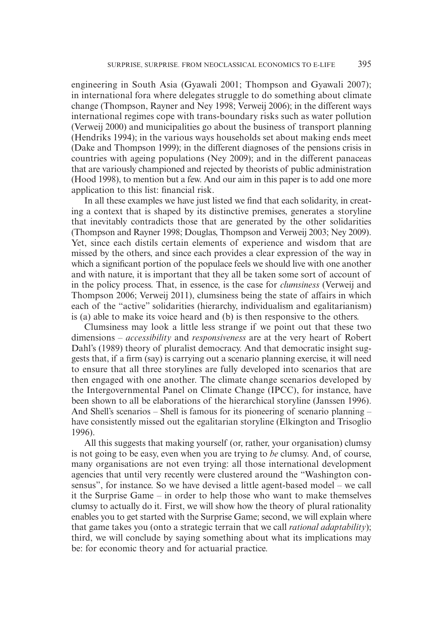engineering in South Asia (Gyawali 2001; Thompson and Gyawali 2007); in international fora where delegates struggle to do something about climate change (Thompson, Rayner and Ney 1998; Verweij 2006); in the different ways international regimes cope with trans-boundary risks such as water pollution (Verweij 2000) and municipalities go about the business of transport planning (Hendriks 1994); in the various ways households set about making ends meet (Dake and Thompson 1999); in the different diagnoses of the pensions crisis in countries with ageing populations (Ney 2009); and in the different panaceas that are variously championed and rejected by theorists of public administration (Hood 1998), to mention but a few. And our aim in this paper is to add one more application to this list: financial risk.

In all these examples we have just listed we find that each solidarity, in creating a context that is shaped by its distinctive premises, generates a storyline that inevitably contradicts those that are generated by the other solidarities (Thompson and Rayner 1998; Douglas, Thompson and Verweij 2003; Ney 2009). Yet, since each distils certain elements of experience and wisdom that are missed by the others, and since each provides a clear expression of the way in which a significant portion of the populace feels we should live with one another and with nature, it is important that they all be taken some sort of account of in the policy process. That, in essence, is the case for *clumsiness* (Verweij and Thompson 2006; Verweij 2011), clumsiness being the state of affairs in which each of the "active" solidarities (hierarchy, individualism and egalitarianism) is (a) able to make its voice heard and (b) is then responsive to the others.

Clumsiness may look a little less strange if we point out that these two dimensions – *accessibility* and *responsiveness* are at the very heart of Robert Dahl's (1989) theory of pluralist democracy. And that democratic insight suggests that, if a firm (say) is carrying out a scenario planning exercise, it will need to ensure that all three storylines are fully developed into scenarios that are then engaged with one another. The climate change scenarios developed by the Intergovernmental Panel on Climate Change (IPCC), for instance, have been shown to all be elaborations of the hierarchical storyline (Janssen 1996). And Shell's scenarios – Shell is famous for its pioneering of scenario planning – have consistently missed out the egalitarian storyline (Elkington and Trisoglio 1996).

All this suggests that making yourself (or, rather, your organisation) clumsy is not going to be easy, even when you are trying to *be* clumsy. And, of course, many organisations are not even trying: all those international development agencies that until very recently were clustered around the "Washington consensus", for instance. So we have devised a little agent-based model – we call it the Surprise Game – in order to help those who want to make themselves clumsy to actually do it. First, we will show how the theory of plural rationality enables you to get started with the Surprise Game; second, we will explain where that game takes you (onto a strategic terrain that we call *rational adaptability*); third, we will conclude by saying something about what its implications may be: for economic theory and for actuarial practice.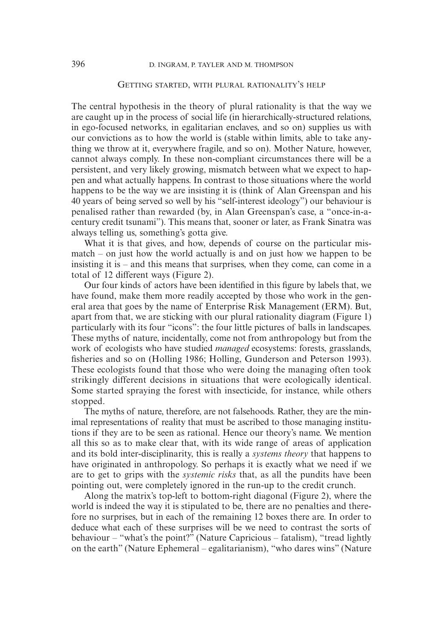### GETTING STARTED, WITH PLURAL RATIONALITY'S HELP

The central hypothesis in the theory of plural rationality is that the way we are caught up in the process of social life (in hierarchically-structured relations, in ego-focused networks, in egalitarian enclaves, and so on) supplies us with our convictions as to how the world is (stable within limits, able to take anything we throw at it, everywhere fragile, and so on). Mother Nature, however, cannot always comply. In these non-compliant circumstances there will be a persistent, and very likely growing, mismatch between what we expect to happen and what actually happens. In contrast to those situations where the world happens to be the way we are insisting it is (think of Alan Greenspan and his 40 years of being served so well by his "self-interest ideology") our behaviour is penalised rather than rewarded (by, in Alan Greenspan's case, a "once-in-acentury credit tsunami"). This means that, sooner or later, as Frank Sinatra was always telling us, something's gotta give.

What it is that gives, and how, depends of course on the particular mismatch – on just how the world actually is and on just how we happen to be insisting it is – and this means that surprises, when they come, can come in a total of 12 different ways (Figure 2).

Our four kinds of actors have been identified in this figure by labels that, we have found, make them more readily accepted by those who work in the general area that goes by the name of Enterprise Risk Management (ERM). But, apart from that, we are sticking with our plural rationality diagram (Figure 1) particularly with its four "icons": the four little pictures of balls in landscapes. These myths of nature, incidentally, come not from anthropology but from the work of ecologists who have studied *managed* ecosystems: forests, grasslands, fisheries and so on (Holling 1986; Holling, Gunderson and Peterson 1993). These ecologists found that those who were doing the managing often took strikingly different decisions in situations that were ecologically identical. Some started spraying the forest with insecticide, for instance, while others stopped.

The myths of nature, therefore, are not falsehoods. Rather, they are the minimal representations of reality that must be ascribed to those managing institutions if they are to be seen as rational. Hence our theory's name. We mention all this so as to make clear that, with its wide range of areas of application and its bold inter-disciplinarity, this is really a *systems theory* that happens to have originated in anthropology. So perhaps it is exactly what we need if we are to get to grips with the *systemic risks* that, as all the pundits have been pointing out, were completely ignored in the run-up to the credit crunch.

Along the matrix's top-left to bottom-right diagonal (Figure 2), where the world is indeed the way it is stipulated to be, there are no penalties and therefore no surprises, but in each of the remaining 12 boxes there are. In order to deduce what each of these surprises will be we need to contrast the sorts of behaviour – "what's the point?" (Nature Capricious – fatalism), "tread lightly on the earth" (Nature Ephemeral – egalitarianism), "who dares wins" (Nature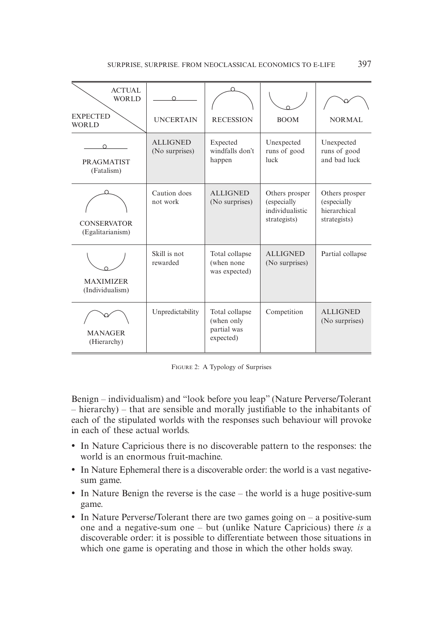| <b>ACTUAL</b><br><b>WORLD</b><br><b>EXPECTED</b><br><b>WORLD</b> | $\cap$<br><b>UNCERTAIN</b>        | <b>RECESSION</b>                                         | <b>BOOM</b>                                                      | <b>NORMAL</b>                                                 |  |
|------------------------------------------------------------------|-----------------------------------|----------------------------------------------------------|------------------------------------------------------------------|---------------------------------------------------------------|--|
| $\Omega$<br><b>PRAGMATIST</b><br>(Fatalism)                      | <b>ALLIGNED</b><br>(No surprises) | Expected<br>windfalls don't<br>happen                    | Unexpected<br>runs of good<br>luck                               | Unexpected<br>runs of good<br>and bad luck                    |  |
| <b>CONSERVATOR</b><br>(Egalitarianism)                           | Caution does<br>not work          | <b>ALLIGNED</b><br>(No surprises)                        | Others prosper<br>(especially<br>individualistic<br>strategists) | Others prosper<br>(especially<br>hierarchical<br>strategists) |  |
| <b>MAXIMIZER</b><br>(Individualism)                              | Skill is not<br>rewarded          | Total collapse<br>(when none<br>was expected)            | <b>ALLIGNED</b><br>(No surprises)                                | Partial collapse                                              |  |
| <b>MANAGER</b><br>(Hierarchy)                                    | Unpredictability                  | Total collapse<br>(when only<br>partial was<br>expected) | Competition                                                      | <b>ALLIGNED</b><br>(No surprises)                             |  |

FIGURE 2: A Typology of Surprises

Benign – individualism) and "look before you leap" (Nature Perverse/Tolerant  $-$  hierarchy) – that are sensible and morally justifiable to the inhabitants of each of the stipulated worlds with the responses such behaviour will provoke in each of these actual worlds.

- In Nature Capricious there is no discoverable pattern to the responses: the world is an enormous fruit-machine.
- In Nature Ephemeral there is a discoverable order: the world is a vast negativesum game.
- In Nature Benign the reverse is the case the world is a huge positive-sum game.
- In Nature Perverse/Tolerant there are two games going on a positive-sum one and a negative-sum one – but (unlike Nature Capricious) there *is* a discoverable order: it is possible to differentiate between those situations in which one game is operating and those in which the other holds sway.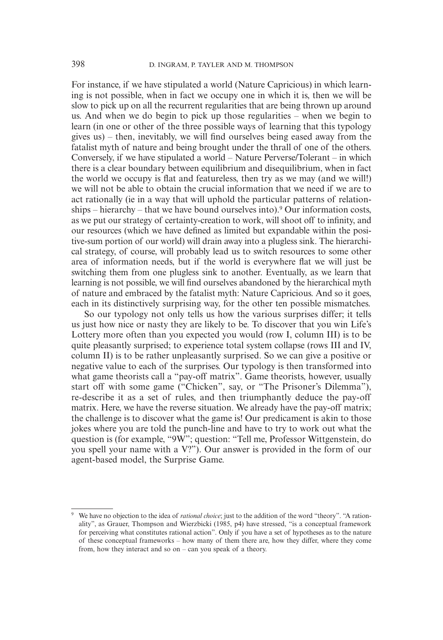For instance, if we have stipulated a world (Nature Capricious) in which learning is not possible, when in fact we occupy one in which it is, then we will be slow to pick up on all the recurrent regularities that are being thrown up around us. And when we do begin to pick up those regularities – when we begin to learn (in one or other of the three possible ways of learning that this typology gives  $us$ ) – then, inevitably, we will find ourselves being eased away from the fatalist myth of nature and being brought under the thrall of one of the others. Conversely, if we have stipulated a world – Nature Perverse/Tolerant – in which there is a clear boundary between equilibrium and disequilibrium, when in fact the world we occupy is flat and featureless, then try as we may (and we will!) we will not be able to obtain the crucial information that we need if we are to act rationally (ie in a way that will uphold the particular patterns of relationships – hierarchy – that we have bound ourselves into).<sup>9</sup> Our information costs, as we put our strategy of certainty-creation to work, will shoot off to infinity, and our resources (which we have defined as limited but expandable within the positive-sum portion of our world) will drain away into a plugless sink. The hierarchical strategy, of course, will probably lead us to switch resources to some other area of information needs, but if the world is everywhere flat we will just be switching them from one plugless sink to another. Eventually, as we learn that learning is not possible, we will find ourselves abandoned by the hierarchical myth of nature and embraced by the fatalist myth: Nature Capricious. And so it goes, each in its distinctively surprising way, for the other ten possible mismatches.

So our typology not only tells us how the various surprises differ; it tells us just how nice or nasty they are likely to be. To discover that you win Life's Lottery more often than you expected you would (row I, column III) is to be quite pleasantly surprised; to experience total system collapse (rows III and IV, column II) is to be rather unpleasantly surprised. So we can give a positive or negative value to each of the surprises. Our typology is then transformed into what game theorists call a "pay-off matrix". Game theorists, however, usually start off with some game ("Chicken", say, or "The Prisoner's Dilemma"), re-describe it as a set of rules, and then triumphantly deduce the pay-off matrix. Here, we have the reverse situation. We already have the pay-off matrix; the challenge is to discover what the game is! Our predicament is akin to those jokes where you are told the punch-line and have to try to work out what the question is (for example, "9W"; question: "Tell me, Professor Wittgenstein, do you spell your name with a V?"). Our answer is provided in the form of our agent-based model, the Surprise Game.

<sup>9</sup> We have no objection to the idea of *rational choice*; just to the addition of the word "theory". "A rationality", as Grauer, Thompson and Wierzbicki (1985, p4) have stressed, "is a conceptual framework for perceiving what constitutes rational action". Only if you have a set of hypotheses as to the nature of these conceptual frameworks – how many of them there are, how they differ, where they come from, how they interact and so on – can you speak of a theory.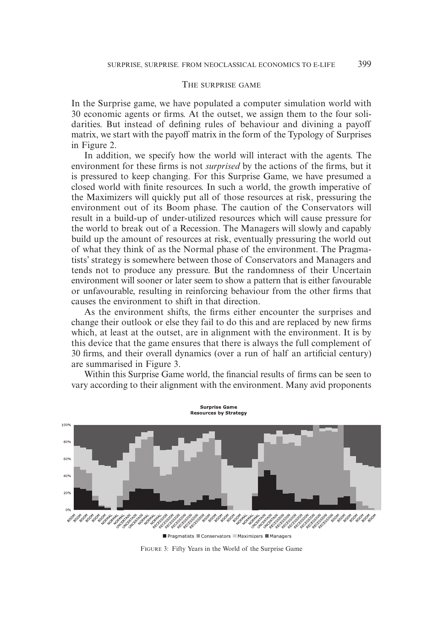#### THE SURPRISE GAME

In the Surprise game, we have populated a computer simulation world with 30 economic agents or firms. At the outset, we assign them to the four solidarities. But instead of defining rules of behaviour and divining a payoff matrix, we start with the payoff matrix in the form of the Typology of Surprises in Figure 2.

In addition, we specify how the world will interact with the agents. The environment for these firms is not *surprised* by the actions of the firms, but it is pressured to keep changing. For this Surprise Game, we have presumed a closed world with finite resources. In such a world, the growth imperative of the Maximizers will quickly put all of those resources at risk, pressuring the environment out of its Boom phase. The caution of the Conservators will result in a build-up of under-utilized resources which will cause pressure for the world to break out of a Recession. The Managers will slowly and capably build up the amount of resources at risk, eventually pressuring the world out of what they think of as the Normal phase of the environment. The Pragmatists' strategy is somewhere between those of Conservators and Managers and tends not to produce any pressure. But the randomness of their Uncertain environment will sooner or later seem to show a pattern that is either favourable or unfavourable, resulting in reinforcing behaviour from the other firms that causes the environment to shift in that direction.

As the environment shifts, the firms either encounter the surprises and change their outlook or else they fail to do this and are replaced by new firms which, at least at the outset, are in alignment with the environment. It is by this device that the game ensures that there is always the full complement of 30 firms, and their overall dynamics (over a run of half an artificial century) are summarised in Figure 3.



Within this Surprise Game world, the financial results of firms can be seen to vary according to their alignment with the environment. Many avid proponents

FIGURE 3: Fifty Years in the World of the Surprise Game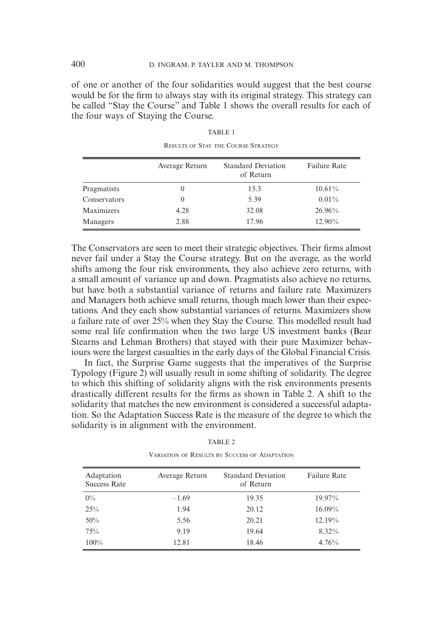of one or another of the four solidarities would suggest that the best course would be for the firm to always stay with its original strategy. This strategy can be called "Stay the Course" and Table 1 shows the overall results for each of the four ways of Staying the Course.

|              | Average Return | <b>Standard Deviation</b><br>of Return | <b>Failure Rate</b> |
|--------------|----------------|----------------------------------------|---------------------|
| Pragmatists  | $\theta$       | 15.3                                   | $10.61\%$           |
| Conservators | $\theta$       | 5.39                                   | $0.01\%$            |
| Maximizers   | 4.28           | 32.08                                  | $26.96\%$           |
| Managers     | 2.88           | 17.96                                  | 12.90%              |

TABLE 1 RESULTS OF STAY THE COURSE STRATEGY

The Conservators are seen to meet their strategic objectives. Their firms almost never fail under a Stay the Course strategy. But on the average, as the world shifts among the four risk environments, they also achieve zero returns, with a small amount of variance up and down. Pragmatists also achieve no returns, but have both a substantial variance of returns and failure rate. Maximizers and Managers both achieve small returns, though much lower than their expectations. And they each show substantial variances of returns. Maximizers show a failure rate of over 25% when they Stay the Course. This modelled result had some real life confirmation when the two large US investment banks (Bear Stearns and Lehman Brothers) that stayed with their pure Maximizer behaviours were the largest casualties in the early days of the Global Financial Crisis.

In fact, the Surprise Game suggests that the imperatives of the Surprise Typology (Figure 2) will usually result in some shifting of solidarity. The degree to which this shifting of solidarity aligns with the risk environments presents drastically different results for the firms as shown in Table 2. A shift to the solidarity that matches the new environment is considered a successful adaptation. So the Adaptation Success Rate is the measure of the degree to which the solidarity is in alignment with the environment.

| Adaptation<br><b>Success Rate</b> | Average Return | <b>Standard Deviation</b><br>of Return | <b>Failure Rate</b> |
|-----------------------------------|----------------|----------------------------------------|---------------------|
| $0\%$                             | $-1.69$        | 19.35                                  | 19.97%              |
| 25%                               | 1.94           | 20.12                                  | $16.09\%$           |
| 50%                               | 5.56           | 20.21                                  | 12.19%              |
| 75%                               | 9.19           | 19.64                                  | 8.32%               |
| 100%                              | 12.81          | 18.46                                  | 4.76%               |

TABLE 2 VARIATION OF RESULTS BY SUCCESS OF ADAPTATION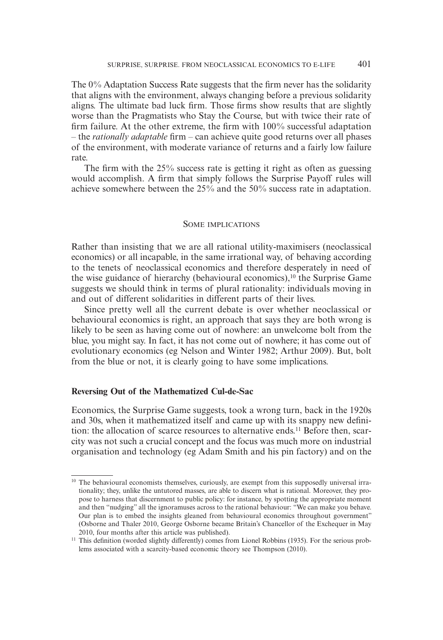The  $0\%$  Adaptation Success Rate suggests that the firm never has the solidarity that aligns with the environment, always changing before a previous solidarity aligns. The ultimate bad luck firm. Those firms show results that are slightly worse than the Pragmatists who Stay the Course, but with twice their rate of firm failure. At the other extreme, the firm with  $100\%$  successful adaptation – the *rationally adaptable* firm – can achieve quite good returns over all phases of the environment, with moderate variance of returns and a fairly low failure rate.

The firm with the  $25\%$  success rate is getting it right as often as guessing would accomplish. A firm that simply follows the Surprise Payoff rules will achieve somewhere between the 25% and the 50% success rate in adaptation.

#### SOME IMPLICATIONS

Rather than insisting that we are all rational utility-maximisers (neoclassical economics) or all incapable, in the same irrational way, of behaving according to the tenets of neoclassical economics and therefore desperately in need of the wise guidance of hierarchy (behavioural economics), $10$  the Surprise Game suggests we should think in terms of plural rationality: individuals moving in and out of different solidarities in different parts of their lives.

Since pretty well all the current debate is over whether neoclassical or behavioural economics is right, an approach that says they are both wrong is likely to be seen as having come out of nowhere: an unwelcome bolt from the blue, you might say. In fact, it has not come out of nowhere; it has come out of evolutionary economics (eg Nelson and Winter 1982; Arthur 2009). But, bolt from the blue or not, it is clearly going to have some implications.

#### **Reversing Out of the Mathematized Cul-de-Sac**

Economics, the Surprise Game suggests, took a wrong turn, back in the 1920s and 30s, when it mathematized itself and came up with its snappy new definition: the allocation of scarce resources to alternative ends.11 Before then, scarcity was not such a crucial concept and the focus was much more on industrial organisation and technology (eg Adam Smith and his pin factory) and on the

<sup>&</sup>lt;sup>10</sup> The behavioural economists themselves, curiously, are exempt from this supposedly universal irrationality; they, unlike the untutored masses, are able to discern what is rational. Moreover, they propose to harness that discernment to public policy: for instance, by spotting the appropriate moment and then "nudging" all the ignoramuses across to the rational behaviour: "We can make you behave. Our plan is to embed the insights gleaned from behavioural economics throughout government" (Osborne and Thaler 2010, George Osborne became Britain's Chancellor of the Exchequer in May 2010, four months after this article was published).

<sup>&</sup>lt;sup>11</sup> This definition (worded slightly differently) comes from Lionel Robbins (1935). For the serious problems associated with a scarcity-based economic theory see Thompson (2010).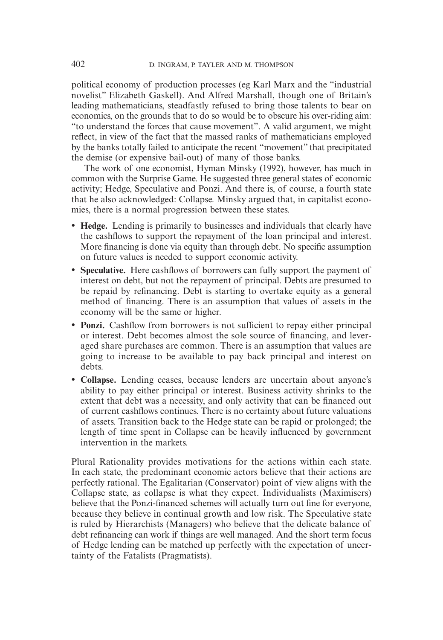political economy of production processes (eg Karl Marx and the "industrial novelist" Elizabeth Gaskell). And Alfred Marshall, though one of Britain's leading mathematicians, steadfastly refused to bring those talents to bear on economics, on the grounds that to do so would be to obscure his over-riding aim: "to understand the forces that cause movement". A valid argument, we might reflect, in view of the fact that the massed ranks of mathematicians employed by the banks totally failed to anticipate the recent "movement" that precipitated the demise (or expensive bail-out) of many of those banks.

The work of one economist, Hyman Minsky (1992), however, has much in common with the Surprise Game. He suggested three general states of economic activity; Hedge, Speculative and Ponzi. And there is, of course, a fourth state that he also acknowledged: Collapse. Minsky argued that, in capitalist economies, there is a normal progression between these states.

- **Hedge.** Lending is primarily to businesses and individuals that clearly have the cashflows to support the repayment of the loan principal and interest. More financing is done via equity than through debt. No specific assumption on future values is needed to support economic activity.
- **Speculative.** Here cashflows of borrowers can fully support the payment of interest on debt, but not the repayment of principal. Debts are presumed to be repaid by refinancing. Debt is starting to overtake equity as a general method of financing. There is an assumption that values of assets in the economy will be the same or higher.
- **Ponzi.** Cashflow from borrowers is not sufficient to repay either principal or interest. Debt becomes almost the sole source of financing, and leveraged share purchases are common. There is an assumption that values are going to increase to be available to pay back principal and interest on debts.
- **Collapse.** Lending ceases, because lenders are uncertain about anyone's ability to pay either principal or interest. Business activity shrinks to the extent that debt was a necessity, and only activity that can be financed out of current cashflows continues. There is no certainty about future valuations of assets. Transition back to the Hedge state can be rapid or prolonged; the length of time spent in Collapse can be heavily influenced by government intervention in the markets.

Plural Rationality provides motivations for the actions within each state. In each state, the predominant economic actors believe that their actions are perfectly rational. The Egalitarian (Conservator) point of view aligns with the Collapse state, as collapse is what they expect. Individualists (Maximisers) believe that the Ponzi-financed schemes will actually turn out fine for everyone, because they believe in continual growth and low risk. The Speculative state is ruled by Hierarchists (Managers) who believe that the delicate balance of debt refinancing can work if things are well managed. And the short term focus of Hedge lending can be matched up perfectly with the expectation of uncertainty of the Fatalists (Pragmatists).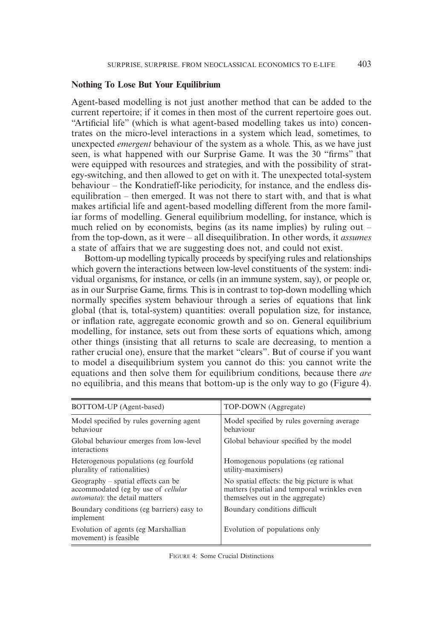# **Nothing To Lose But Your Equilibrium**

Agent-based modelling is not just another method that can be added to the current repertoire; if it comes in then most of the current repertoire goes out. "Artificial life" (which is what agent-based modelling takes us into) concentrates on the micro-level interactions in a system which lead, sometimes, to unexpected *emergent* behaviour of the system as a whole. This, as we have just seen, is what happened with our Surprise Game. It was the 30 "firms" that were equipped with resources and strategies, and with the possibility of strategy-switching, and then allowed to get on with it. The unexpected total-system behaviour – the Kondratieff-like periodicity, for instance, and the endless disequilibration – then emerged. It was not there to start with, and that is what makes artificial life and agent-based modelling different from the more familiar forms of modelling. General equilibrium modelling, for instance, which is much relied on by economists, begins (as its name implies) by ruling out – from the top-down, as it were – all disequilibration. In other words, it *assumes* a state of affairs that we are suggesting does not, and could not exist.

Bottom-up modelling typically proceeds by specifying rules and relationships which govern the interactions between low-level constituents of the system: individual organisms, for instance, or cells (in an immune system, say), or people or, as in our Surprise Game, firms. This is in contrast to top-down modelling which normally specifies system behaviour through a series of equations that link global (that is, total-system) quantities: overall population size, for instance, or infl ation rate, aggregate economic growth and so on. General equilibrium modelling, for instance, sets out from these sorts of equations which, among other things (insisting that all returns to scale are decreasing, to mention a rather crucial one), ensure that the market "clears". But of course if you want to model a disequilibrium system you cannot do this: you cannot write the equations and then solve them for equilibrium conditions, because there *are*  no equilibria, and this means that bottom-up is the only way to go (Figure 4).

| BOTTOM-UP (Agent-based)                                                                                                     | TOP-DOWN (Aggregate)                                                                                                           |
|-----------------------------------------------------------------------------------------------------------------------------|--------------------------------------------------------------------------------------------------------------------------------|
| Model specified by rules governing agent<br>behaviour                                                                       | Model specified by rules governing average<br>behaviour                                                                        |
| Global behaviour emerges from low-level<br>interactions                                                                     | Global behaviour specified by the model                                                                                        |
| Heterogenous populations (eg fourfold<br>plurality of rationalities)                                                        | Homogenous populations (eg rational)<br>utility-maximisers)                                                                    |
| $Geography$ – spatial effects can be<br>accommodated (eg by use of <i>cellular</i><br><i>automata</i> ): the detail matters | No spatial effects: the big picture is what<br>matters (spatial and temporal wrinkles even<br>themselves out in the aggregate) |
| Boundary conditions (eg barriers) easy to<br>implement                                                                      | Boundary conditions difficult                                                                                                  |
| Evolution of agents (eg Marshallian)<br>movement) is feasible.                                                              | Evolution of populations only                                                                                                  |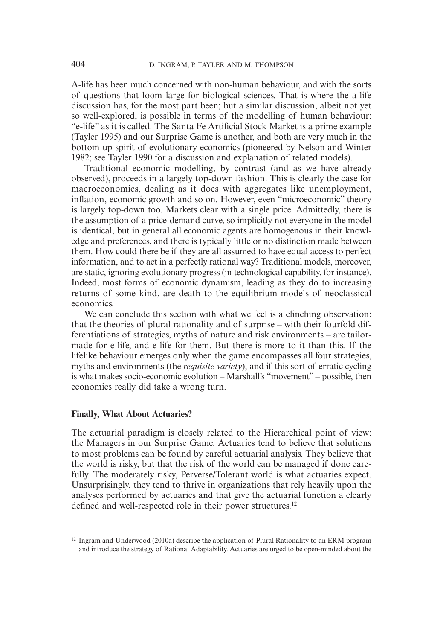A-life has been much concerned with non-human behaviour, and with the sorts of questions that loom large for biological sciences. That is where the a-life discussion has, for the most part been; but a similar discussion, albeit not yet so well-explored, is possible in terms of the modelling of human behaviour: "e-life" as it is called. The Santa Fe Artificial Stock Market is a prime example (Tayler 1995) and our Surprise Game is another, and both are very much in the bottom-up spirit of evolutionary economics (pioneered by Nelson and Winter 1982; see Tayler 1990 for a discussion and explanation of related models).

Traditional economic modelling, by contrast (and as we have already observed), proceeds in a largely top-down fashion. This is clearly the case for macroeconomics, dealing as it does with aggregates like unemployment, inflation, economic growth and so on. However, even "microeconomic" theory is largely top-down too. Markets clear with a single price. Admittedly, there is the assumption of a price-demand curve, so implicitly not everyone in the model is identical, but in general all economic agents are homogenous in their knowledge and preferences, and there is typically little or no distinction made between them. How could there be if they are all assumed to have equal access to perfect information, and to act in a perfectly rational way? Traditional models, moreover, are static, ignoring evolutionary progress (in technological capability, for instance). Indeed, most forms of economic dynamism, leading as they do to increasing returns of some kind, are death to the equilibrium models of neoclassical economics.

We can conclude this section with what we feel is a clinching observation: that the theories of plural rationality and of surprise – with their fourfold differentiations of strategies, myths of nature and risk environments – are tailormade for e-life, and e-life for them. But there is more to it than this. If the lifelike behaviour emerges only when the game encompasses all four strategies, myths and environments (the *requisite variety*), and if this sort of erratic cycling is what makes socio-economic evolution – Marshall's "movement" – possible, then economics really did take a wrong turn.

### **Finally, What About Actuaries?**

The actuarial paradigm is closely related to the Hierarchical point of view: the Managers in our Surprise Game. Actuaries tend to believe that solutions to most problems can be found by careful actuarial analysis. They believe that the world is risky, but that the risk of the world can be managed if done carefully. The moderately risky, Perverse/Tolerant world is what actuaries expect. Unsurprisingly, they tend to thrive in organizations that rely heavily upon the analyses performed by actuaries and that give the actuarial function a clearly defined and well-respected role in their power structures.<sup>12</sup>

<sup>&</sup>lt;sup>12</sup> Ingram and Underwood (2010a) describe the application of Plural Rationality to an ERM program and introduce the strategy of Rational Adaptability. Actuaries are urged to be open-minded about the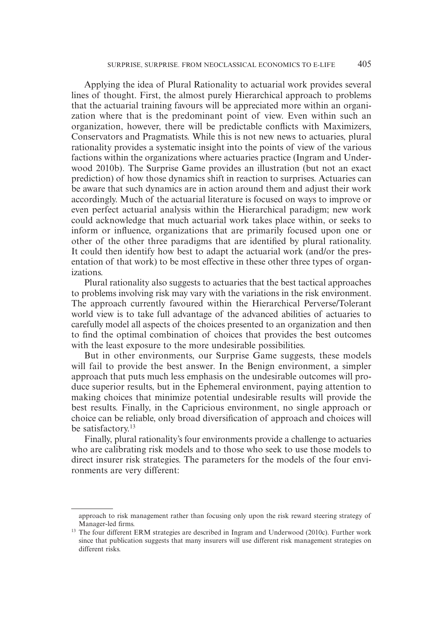Applying the idea of Plural Rationality to actuarial work provides several lines of thought. First, the almost purely Hierarchical approach to problems that the actuarial training favours will be appreciated more within an organization where that is the predominant point of view. Even within such an organization, however, there will be predictable conflicts with Maximizers, Conservators and Pragmatists. While this is not new news to actuaries, plural rationality provides a systematic insight into the points of view of the various factions within the organizations where actuaries practice (Ingram and Underwood 2010b). The Surprise Game provides an illustration (but not an exact prediction) of how those dynamics shift in reaction to surprises. Actuaries can be aware that such dynamics are in action around them and adjust their work accordingly. Much of the actuarial literature is focused on ways to improve or even perfect actuarial analysis within the Hierarchical paradigm; new work could acknowledge that much actuarial work takes place within, or seeks to inform or influence, organizations that are primarily focused upon one or other of the other three paradigms that are identified by plural rationality. It could then identify how best to adapt the actuarial work (and/or the presentation of that work) to be most effective in these other three types of organizations.

Plural rationality also suggests to actuaries that the best tactical approaches to problems involving risk may vary with the variations in the risk environment. The approach currently favoured within the Hierarchical Perverse/Tolerant world view is to take full advantage of the advanced abilities of actuaries to carefully model all aspects of the choices presented to an organization and then to find the optimal combination of choices that provides the best outcomes with the least exposure to the more undesirable possibilities.

But in other environments, our Surprise Game suggests, these models will fail to provide the best answer. In the Benign environment, a simpler approach that puts much less emphasis on the undesirable outcomes will produce superior results, but in the Ephemeral environment, paying attention to making choices that minimize potential undesirable results will provide the best results. Finally, in the Capricious environment, no single approach or choice can be reliable, only broad diversification of approach and choices will be satisfactory.<sup>13</sup>

Finally, plural rationality's four environments provide a challenge to actuaries who are calibrating risk models and to those who seek to use those models to direct insurer risk strategies. The parameters for the models of the four environments are very different:

approach to risk management rather than focusing only upon the risk reward steering strategy of Manager-led firms.<br><sup>13</sup> The four different ERM strategies are described in Ingram and Underwood (2010c). Further work

since that publication suggests that many insurers will use different risk management strategies on different risks.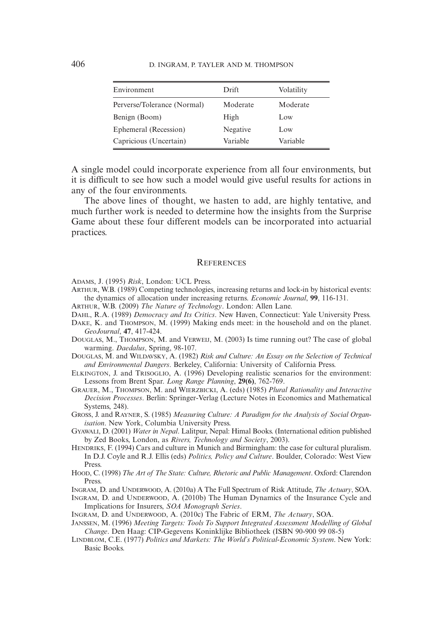| Environment                 | Drift    | Volatility |
|-----------------------------|----------|------------|
| Perverse/Tolerance (Normal) | Moderate | Moderate   |
| Benign (Boom)               | High     | Low        |
| Ephemeral (Recession)       | Negative | Low        |
| Capricious (Uncertain)      | Variable | Variable   |

A single model could incorporate experience from all four environments, but it is difficult to see how such a model would give useful results for actions in any of the four environments.

The above lines of thought, we hasten to add, are highly tentative, and much further work is needed to determine how the insights from the Surprise Game about these four different models can be incorporated into actuarial practices.

#### **REFERENCES**

ADAMS, J. (1995) *Risk*, London: UCL Press.

- ARTHUR, W.B. (1989) Competing technologies, increasing returns and lock-in by historical events: the dynamics of allocation under increasing returns. *Economic Journal*, **99**, 116-131.
- ARTHUR, W.B. (2009) *The Nature of Technology*. London: Allen Lane.
- DAHL, R.A. (1989) *Democracy and Its Critics*. New Haven, Connecticut: Yale University Press.
- DAKE, K. and THOMPSON, M. (1999) Making ends meet: in the household and on the planet. *GeoJournal*, **47**, 417-424.
- DOUGLAS, M., THOMPSON, M. and VERWEIJ, M. (2003) Is time running out? The case of global warming. *Daedalus*, Spring, 98-107.
- DOUGLAS, M. and WILDAVSKY, A. (1982) *Risk and Culture: An Essay on the Selection of Technical and Environmental Dangers*. Berkeley, California: University of California Press.
- ELKINGTON, J. and TRISOGLIO, A. (1996) Developing realistic scenarios for the environment: Lessons from Brent Spar. *Long Range Planning*, **29(6)**, 762-769.
- GRAUER, M., THOMPSON, M. and WIERZBICKI, A. (eds) (1985) *Plural Rationality and Interactive Decision Processes*. Berlin: Springer-Verlag (Lecture Notes in Economics and Mathematical Systems, 248).
- GROSS, J. and RAYNER, S. (1985) *Measuring Culture: A Paradigm for the Analysis of Social Organisation*. New York, Columbia University Press.
- GYAWALI, D. (2001) *Water in Nepal*. Lalitpur, Nepal: Himal Books. (International edition published by Zed Books, London, as *Rivers, Technology and Society*, 2003).
- HENDRIKS, F. (1994) Cars and culture in Munich and Birmingham: the case for cultural pluralism. In D.J. Coyle and R.J. Ellis (eds) *Politics, Policy and Culture*. Boulder, Colorado: West View Press.
- HOOD, C. (1998) *The Art of The State: Culture, Rhetoric and Public Management*. Oxford: Clarendon Press.

INGRAM, D. and UNDERWOOD, A. (2010a) A The Full Spectrum of Risk Attitude, *The Actuary*, SOA.

- INGRAM, D. and UNDERWOOD, A. (2010b) The Human Dynamics of the Insurance Cycle and Implications for Insurers, *SOA Monograph Series*.
- INGRAM, D. and UNDERWOOD, A. (2010c) The Fabric of ERM, *The Actuary*, SOA.
- JANSSEN, M. (1996) *Meeting Targets: Tools To Support Integrated Assessment Modelling of Global Change*. Den Haag: CIP-Gegevens Koninklijke Bibliotheek (ISBN 90-900 99 08-5)
- LINDBLOM, C.E. (1977) *Politics and Markets: The World's Political-Economic System*. New York: Basic Books.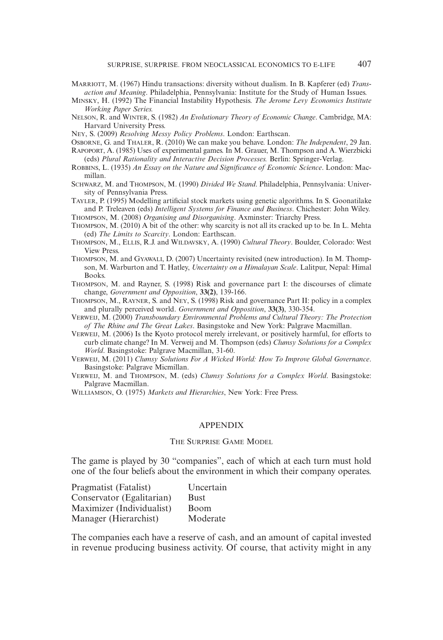- MARRIOTT, M. (1967) Hindu transactions: diversity without dualism. In B. Kapferer (ed) *Transaction and Meaning*. Philadelphia, Pennsylvania: Institute for the Study of Human Issues.
- MINSKY, H. (1992) The Financial Instability Hypothesis. *The Jerome Levy Economics Institute Working Paper Series.*
- NELSON, R. and WINTER, S. (1982) *An Evolutionary Theory of Economic Change*. Cambridge, MA: Harvard University Press.
- NEY, S. (2009) *Resolving Messy Policy Problems*. London: Earthscan.
- OSBORNE, G. and THALER, R. (2010) We can make you behave. London: *The Independent*, 29 Jan. RAPOPORT, A. (1985) Uses of experimental games. In M. Grauer, M. Thompson and A. Wierzbicki (eds) *Plural Rationality and Interactive Decision Processes.* Berlin: Springer-Verlag.
- ROBBINS, L. (1935) *An Essay on the Nature and Significance of Economic Science*. London: Macmillan.
- SCHWARZ, M. and THOMPSON, M. (1990) *Divided We Stand*. Philadelphia, Pennsylvania: University of Pennsylvania Press.
- TAYLER, P. (1995) Modelling artificial stock markets using genetic algorithms. In S. Goonatilake and P. Treleaven (eds) *Intelligent Systems for Finance and Business*. Chichester: John Wiley. THOMPSON, M. (2008) *Organising and Disorganising*. Axminster: Triarchy Press.
- THOMPSON, M. (2010) A bit of the other: why scarcity is not all its cracked up to be. In L. Mehta (ed) *The Limits to Scarcity*. London: Earthscan.
- THOMPSON, M., ELLIS, R.J. and WILDAVSKY, A. (1990) *Cultural Theory*. Boulder, Colorado: West View Press.
- THOMPSON, M. and GYAWALI, D. (2007) Uncertainty revisited (new introduction). In M. Thompson, M. Warburton and T. Hatley, *Uncertainty on a Himalayan Scale*. Lalitpur, Nepal: Himal Books.
- THOMPSON, M. and Rayner, S. (1998) Risk and governance part I: the discourses of climate change, *Government and Opposition*, **33(2)**, 139-166.
- THOMPSON, M., RAYNER, S. and NEY, S. (1998) Risk and governance Part II: policy in a complex and plurally perceived world. *Government and Opposition*, **33(3)**, 330-354.
- VERWEIJ, M. (2000) *Transboundary Environmental Problems and Cultural Theory: The Protection of The Rhine and The Great Lakes*. Basingstoke and New York: Palgrave Macmillan.
- VERWEIJ, M. (2006) Is the Kyoto protocol merely irrelevant, or positively harmful, for efforts to curb climate change? In M. Verweij and M. Thompson (eds) *Clumsy Solutions for a Complex World*. Basingstoke: Palgrave Macmillan, 31-60.
- VERWEIJ, M. (2011) *Clumsy Solutions For A Wicked World: How To Improve Global Governance*. Basingstoke: Palgrave Micmillan.
- VERWEIJ, M. and THOMPSON, M. (eds) *Clumsy Solutions for a Complex World*. Basingstoke: Palgrave Macmillan.
- WILLIAMSON, O. (1975) *Markets and Hierarchies*, New York: Free Press.

#### APPENDIX

## THE SURPRISE GAME MODEL

The game is played by 30 "companies", each of which at each turn must hold one of the four beliefs about the environment in which their company operates.

| Pragmatist (Fatalist)     | Uncertain   |
|---------------------------|-------------|
| Conservator (Egalitarian) | <b>Bust</b> |
| Maximizer (Individualist) | Boom        |
| Manager (Hierarchist)     | Moderate    |

The companies each have a reserve of cash, and an amount of capital invested in revenue producing business activity. Of course, that activity might in any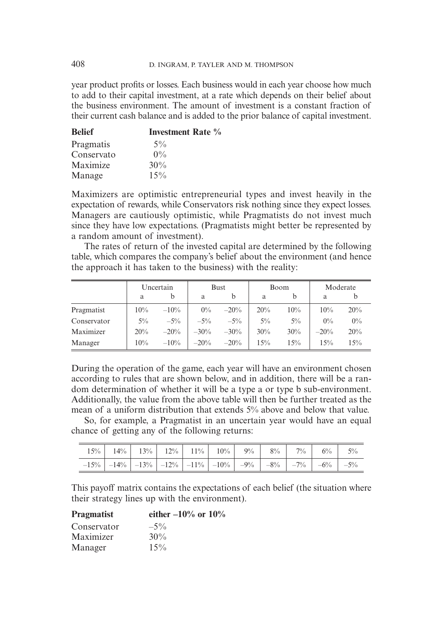year product profits or losses. Each business would in each year choose how much to add to their capital investment, at a rate which depends on their belief about the business environment. The amount of investment is a constant fraction of their current cash balance and is added to the prior balance of capital investment.

| <b>Belief</b> | <b>Investment Rate</b> % |
|---------------|--------------------------|
| Pragmatis     | $5\%$                    |
| Conservato    | $0\%$                    |
| Maximize      | 30%                      |
| Manage        | 15%                      |

Maximizers are optimistic entrepreneurial types and invest heavily in the expectation of rewards, while Conservators risk nothing since they expect losses. Managers are cautiously optimistic, while Pragmatists do not invest much since they have low expectations. (Pragmatists might better be represented by a random amount of investment).

The rates of return of the invested capital are determined by the following table, which compares the company's belief about the environment (and hence the approach it has taken to the business) with the reality:

|             | Uncertain |         | <b>Bust</b> |         | Boom  |       | Moderate |       |
|-------------|-----------|---------|-------------|---------|-------|-------|----------|-------|
|             | a         | b       | a           | b       | a     |       | a        |       |
| Pragmatist  | 10%       | $-10\%$ | $0\%$       | $-20%$  | 20%   | 10%   | 10%      | 20%   |
| Conservator | $5\%$     | $-5\%$  | $-5\%$      | $-5\%$  | $5\%$ | $5\%$ | $0\%$    | $0\%$ |
| Maximizer   | 20%       | $-20%$  | $-30%$      | $-30\%$ | 30%   | 30%   | $-20%$   | 20%   |
| Manager     | $10\%$    | $-10\%$ | $-20%$      | $-20%$  | 15%   | 15%   | 15%      | 15%   |

During the operation of the game, each year will have an environment chosen according to rules that are shown below, and in addition, there will be a random determination of whether it will be a type a or type b sub-environment. Additionally, the value from the above table will then be further treated as the mean of a uniform distribution that extends 5% above and below that value.

So, for example, a Pragmatist in an uncertain year would have an equal chance of getting any of the following returns:

| $15\%$ $14\%$ $13\%$ $12\%$ $12\%$ $11\%$ $10\%$ $9\%$ $8\%$ $7\%$ $6\%$ $6\%$ 5% |  |  |  |  |  |
|-----------------------------------------------------------------------------------|--|--|--|--|--|
| $-15\%$ -14% -13% -12% -12% -11% -10% -9% -8% -7% -6% -5%                         |  |  |  |  |  |

This payoff matrix contains the expectations of each belief (the situation where their strategy lines up with the environment).

| <b>Pragmatist</b> | either $-10\%$ or $10\%$ |
|-------------------|--------------------------|
| Conservator       | $-5\%$                   |
| Maximizer         | $30\%$                   |
| Manager           | $15\%$                   |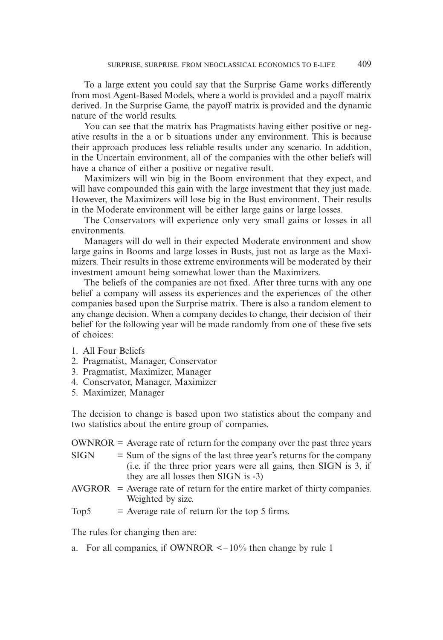To a large extent you could say that the Surprise Game works differently from most Agent-Based Models, where a world is provided and a payoff matrix derived. In the Surprise Game, the payoff matrix is provided and the dynamic nature of the world results.

You can see that the matrix has Pragmatists having either positive or negative results in the a or b situations under any environment. This is because their approach produces less reliable results under any scenario. In addition, in the Uncertain environment, all of the companies with the other beliefs will have a chance of either a positive or negative result.

Maximizers will win big in the Boom environment that they expect, and will have compounded this gain with the large investment that they just made. However, the Maximizers will lose big in the Bust environment. Their results in the Moderate environment will be either large gains or large losses.

The Conservators will experience only very small gains or losses in all environments.

Managers will do well in their expected Moderate environment and show large gains in Booms and large losses in Busts, just not as large as the Maximizers. Their results in those extreme environments will be moderated by their investment amount being somewhat lower than the Maximizers.

The beliefs of the companies are not fixed. After three turns with any one belief a company will assess its experiences and the experiences of the other companies based upon the Surprise matrix. There is also a random element to any change decision. When a company decides to change, their decision of their belief for the following year will be made randomly from one of these five sets of choices:

- 1. All Four Beliefs
- 2. Pragmatist, Manager, Conservator
- 3. Pragmatist, Maximizer, Manager
- 4. Conservator, Manager, Maximizer
- 5. Maximizer, Manager

The decision to change is based upon two statistics about the company and two statistics about the entire group of companies.

|             | $OWNROR = Average$ rate of return for the company over the past three years                               |
|-------------|-----------------------------------------------------------------------------------------------------------|
| <b>SIGN</b> | $=$ Sum of the signs of the last three year's returns for the company                                     |
|             | (i.e. if the three prior years were all gains, then SIGN is 3, if<br>they are all losses then SIGN is -3) |
|             | $AVGROR = Average rate of return for the entire market of thirty companies.$                              |
|             | Weighted by size.                                                                                         |

Top5  $=$  Average rate of return for the top 5 firms.

The rules for changing then are:

a. For all companies, if OWNROR  $\leq -10\%$  then change by rule 1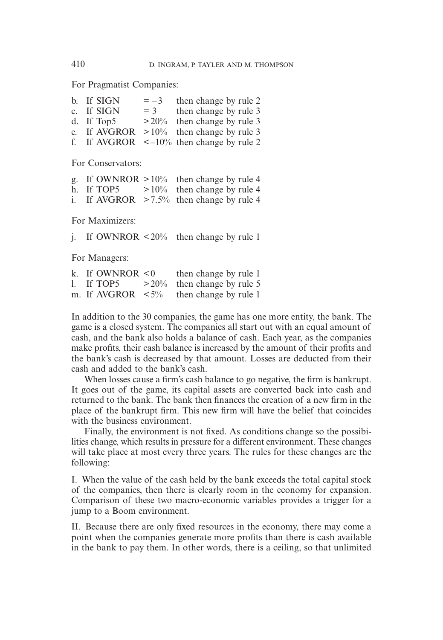For Pragmatist Companies:

| $=-3$                                    | then change by rule 2                                                                         |
|------------------------------------------|-----------------------------------------------------------------------------------------------|
| $=$ 3                                    | then change by rule 3                                                                         |
| $> 20\%$                                 | then change by rule 3                                                                         |
|                                          |                                                                                               |
|                                          |                                                                                               |
| b. If SIGN<br>c. If SIGN<br>d. If $Top5$ | e. If AVGROR $>10\%$ then change by rule 3<br>f. If AVGROR $\leq -10\%$ then change by rule 2 |

For Conservators:

|            | g. If OWNROR $>10\%$ then change by rule 4  |
|------------|---------------------------------------------|
| h. If TOP5 | $>10\%$ then change by rule 4               |
|            | i. If AVGROR $>7.5\%$ then change by rule 4 |

For Maximizers:

j. If OWNROR  $\leq 20\%$  then change by rule 1

For Managers:

| k. If OWNROR $\leq 0$   | then change by rule 1         |
|-------------------------|-------------------------------|
| 1. If $TOP5$            | $>20\%$ then change by rule 5 |
| m. If AVGROR $\leq 5\%$ | then change by rule 1         |

In addition to the 30 companies, the game has one more entity, the bank. The game is a closed system. The companies all start out with an equal amount of cash, and the bank also holds a balance of cash. Each year, as the companies make profits, their cash balance is increased by the amount of their profits and the bank's cash is decreased by that amount. Losses are deducted from their cash and added to the bank's cash.

When losses cause a firm's cash balance to go negative, the firm is bankrupt. It goes out of the game, its capital assets are converted back into cash and returned to the bank. The bank then finances the creation of a new firm in the place of the bankrupt firm. This new firm will have the belief that coincides with the business environment.

Finally, the environment is not fixed. As conditions change so the possibilities change, which results in pressure for a different environment. These changes will take place at most every three years. The rules for these changes are the following:

I. When the value of the cash held by the bank exceeds the total capital stock of the companies, then there is clearly room in the economy for expansion. Comparison of these two macro-economic variables provides a trigger for a jump to a Boom environment.

II. Because there are only fixed resources in the economy, there may come a point when the companies generate more profits than there is cash available in the bank to pay them. In other words, there is a ceiling, so that unlimited